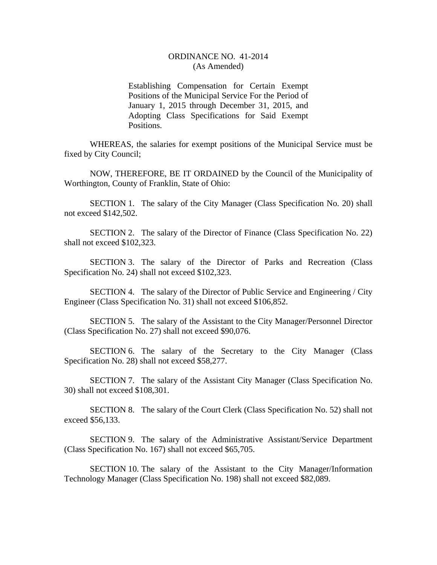## ORDINANCE NO. 41-2014 (As Amended)

Establishing Compensation for Certain Exempt Positions of the Municipal Service For the Period of January 1, 2015 through December 31, 2015, and Adopting Class Specifications for Said Exempt Positions.

WHEREAS, the salaries for exempt positions of the Municipal Service must be fixed by City Council;

NOW, THEREFORE, BE IT ORDAINED by the Council of the Municipality of Worthington, County of Franklin, State of Ohio:

SECTION 1. The salary of the City Manager (Class Specification No. 20) shall not exceed \$142,502.

SECTION 2. The salary of the Director of Finance (Class Specification No. 22) shall not exceed \$102,323.

SECTION 3. The salary of the Director of Parks and Recreation (Class Specification No. 24) shall not exceed \$102,323.

SECTION 4. The salary of the Director of Public Service and Engineering / City Engineer (Class Specification No. 31) shall not exceed \$106,852.

SECTION 5. The salary of the Assistant to the City Manager/Personnel Director (Class Specification No. 27) shall not exceed \$90,076.

SECTION 6. The salary of the Secretary to the City Manager (Class Specification No. 28) shall not exceed \$58,277.

SECTION 7. The salary of the Assistant City Manager (Class Specification No. 30) shall not exceed \$108,301.

SECTION 8. The salary of the Court Clerk (Class Specification No. 52) shall not exceed \$56,133.

SECTION 9. The salary of the Administrative Assistant/Service Department (Class Specification No. 167) shall not exceed \$65,705.

SECTION 10. The salary of the Assistant to the City Manager/Information Technology Manager (Class Specification No. 198) shall not exceed \$82,089.